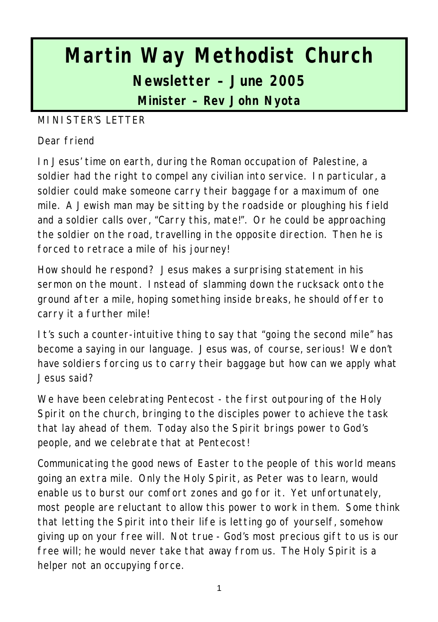# **Martin Way Methodist Church Newsletter – June 2005 Minister – Rev John Nyota**

#### MINISTER'S LETTER

#### Dear friend

In Jesus' time on earth, during the Roman occupation of Palestine, a soldier had the right to compel any civilian into service. In particular, a soldier could make someone carry their baggage for a maximum of one mile. A Jewish man may be sitting by the roadside or ploughing his field and a soldier calls over, "Carry this, mate!". Or he could be approaching the soldier on the road, travelling in the opposite direction. Then he is forced to retrace a mile of his journey!

How should he respond? Jesus makes a surprising statement in his sermon on the mount. Instead of slamming down the rucksack onto the ground after a mile, hoping something inside breaks, he should offer to carry it a further mile!

It's such a counter-intuitive thing to say that "going the second mile" has become a saying in our language. Jesus was, of course, serious! We don't have soldiers forcing us to carry their baggage but how can we apply what Jesus said?

We have been celebrating Pentecost - the first outpouring of the Holy Spirit on the church, bringing to the disciples power to achieve the task that lay ahead of them. Today also the Spirit brings power to God's people, and we celebrate that at Pentecost!

Communicating the good news of Easter to the people of this world means going an extra mile. Only the Holy Spirit, as Peter was to learn, would enable us to burst our comfort zones and go for it. Yet unfortunately, most people are reluctant to allow this power to work in them. Some think that letting the Spirit into their life is letting go of yourself, somehow giving up on your free will. Not true - God's most precious gift to us is our free will; he would never take that away from us. The Holy Spirit is a helper not an occupying force.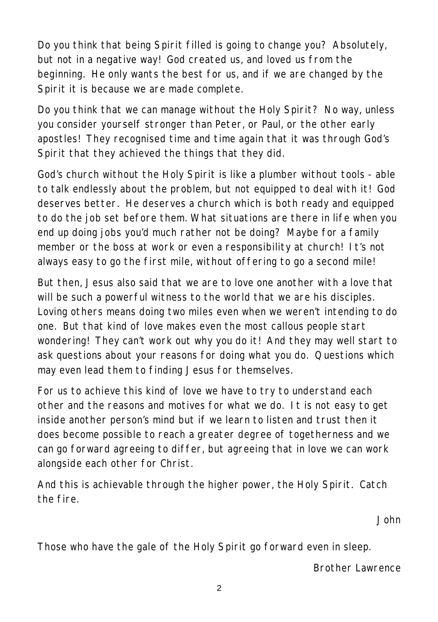Do you think that being Spirit filled is going to change you? Absolutely, but not in a negative way! God created us, and loved us from the beginning. He only wants the best for us, and if we are changed by the Spirit it is because we are made complete.

Do you think that we can manage without the Holy Spirit? No way, unless you consider yourself stronger than Peter, or Paul, or the other early apostles! They recognised time and time again that it was through God's Spirit that they achieved the things that they did.

God's church without the Holy Spirit is like a plumber without tools - able to talk endlessly about the problem, but not equipped to deal with it! God deserves better. He deserves a church which is both ready and equipped to do the job set before them. What situations are there in life when you end up doing jobs you'd much rather not be doing? Maybe for a family member or the boss at work or even a responsibility at church! It's not always easy to go the first mile, without offering to go a second mile!

But then, Jesus also said that we are to love one another with a love that will be such a powerful witness to the world that we are his disciples. Loving others means doing two miles even when we weren't intending to do one. But that kind of love makes even the most callous people start wondering! They can't work out why you do it! And they may well start to ask questions about your reasons for doing what you do. Questions which may even lead them to finding Jesus for themselves.

For us to achieve this kind of love we have to try to understand each other and the reasons and motives for what we do. It is not easy to get inside another person's mind but if we learn to listen and trust then it does become possible to reach a greater degree of togetherness and we can go forward agreeing to differ, but agreeing that in love we can work alongside each other for Christ.

And this is achievable through the higher power, the Holy Spirit. Catch the fire.

*John*

*Those who have the gale of the Holy Spirit go forward even in sleep.*

*Brother Lawrence*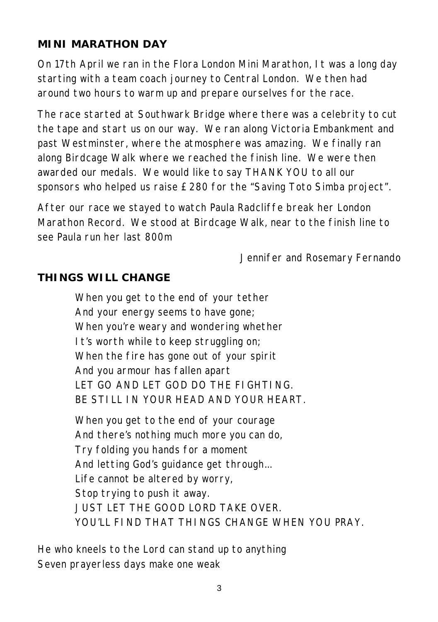## **MINI MARATHON DAY**

On 17th April we ran in the Flora London Mini Marathon, It was a long day starting with a team coach journey to Central London. We then had around two hours to warm up and prepare ourselves for the race.

The race started at Southwark Bridge where there was a celebrity to cut the tape and start us on our way. We ran along Victoria Embankment and past Westminster, where the atmosphere was amazing. We finally ran along Birdcage Walk where we reached the finish line. We were then awarded our medals. We would like to say THANK YOU to all our sponsors who helped us raise £280 for the "Saving Toto Simba project".

After our race we stayed to watch Paula Radcliffe break her London Marathon Record. We stood at Birdcage Walk, near to the finish line to see Paula run her last 800m

*Jennifer and Rosemary Fernando*

#### **THINGS WILL CHANGE**

When you get to the end of your tether And your energy seems to have gone; When you're weary and wondering whether It's worth while to keep struggling on; When the fire has gone out of your spirit And you armour has fallen apart LET GO AND LET GOD DO THE FIGHTING. BE STILL IN YOUR HEAD AND YOUR HEART.

When you get to the end of your courage And there's nothing much more you can do, Try folding you hands for a moment And letting God's guidance get through... Life cannot be altered by worry, Stop trying to push it away. JUST LET THE GOOD LORD TAKE OVER. YOU'LL FIND THAT THINGS CHANGE WHEN YOU PRAY.

*He who kneels to the Lord can stand up to anything Seven prayerless days make one weak*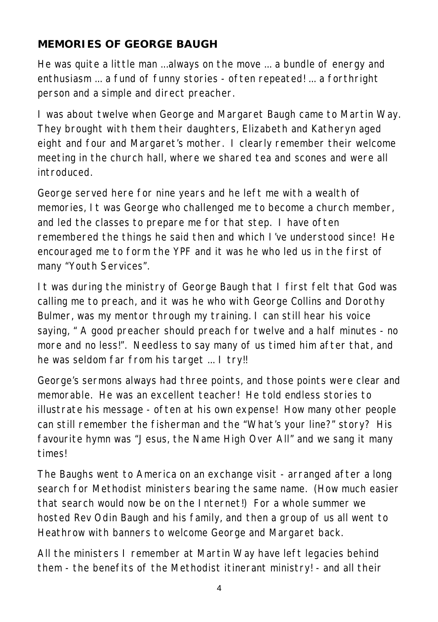### **MEMORIES OF GEORGE BAUGH**

He was quite a little man ...always on the move ... a bundle of energy and enthusiasm ... a fund of funny stories - often repeated! ... a forthright person and a simple and direct preacher.

I was about twelve when George and Margaret Baugh came to Martin Way. They brought with them their daughters, Elizabeth and Katheryn aged eight and four and Margaret's mother. I clearly remember their welcome meeting in the church hall, where we shared tea and scones and were all introduced.

George served here for nine years and he left me with a wealth of memories, It was George who challenged me to become a church member, and led the classes to prepare me for that step. I have often remembered the things he said then and which I've understood since! He encouraged me to form the YPF and it was he who led us in the first of many "Youth Services".

It was during the ministry of George Baugh that I first felt that God was calling me to preach, and it was he who with George Collins and Dorothy Bulmer, was my mentor through my training. I can still hear his voice saying, " A good preacher should preach for twelve and a half minutes - no more and no less!". Needless to say many of us timed him after that, and he was seldom far from his target ... I try!!

George's sermons always had three points, and those points were clear and memorable. He was an excellent teacher! He told endless stories to illustrate his message - often at his own expense! How many other people can still remember the fisherman and the "What's your line?" story? His favourite hymn was "Jesus, the Name High Over All" and we sang it many times!

The Baughs went to America on an exchange visit - arranged after a long search for Methodist ministers bearing the same name. (How much easier that search would now be on the Internet!) For a whole summer we hosted Rev Odin Baugh and his family, and then a group of us all went to Heathrow with banners to welcome George and Margaret back.

All the ministers I remember at Martin Way have left legacies behind them - the benefits of the Methodist itinerant ministry! - and all their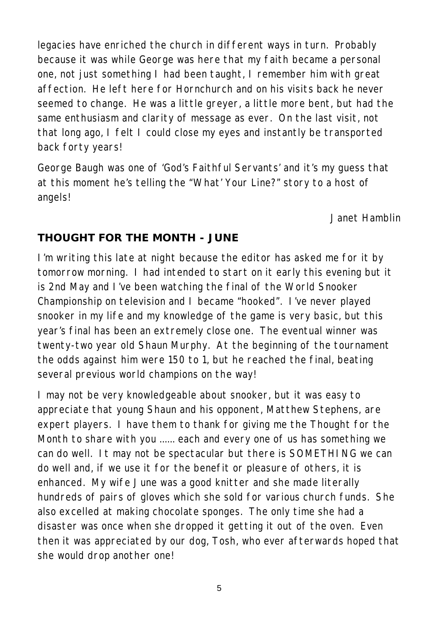legacies have enriched the church in different ways in turn. Probably because it was while George was here that my faith became a personal one, not just something I had been taught, I remember him with great affection. He left here for Hornchurch and on his visits back he never seemed to change. He was a little greyer, a little more bent, but had the same enthusiasm and clarity of message as ever. On the last visit, not that long ago, I felt I could close my eyes and instantly be transported back forty years!

George Baugh was one of 'God's Faithful Servants' and it's my guess that at this moment he's telling the "What' Your Line?" story to a host of angels!

*Janet Hamblin*

#### **THOUGHT FOR THE MONTH - JUNE**

I'm writing this late at night because the editor has asked me for it by tomorrow morning. I had intended to start on it early this evening but it is 2nd May and I've been watching the final of the World Snooker Championship on television and I became "hooked". I've never played snooker in my life and my knowledge of the game is very basic, but this year's final has been an extremely close one. The eventual winner was twenty-two year old Shaun Murphy. At the beginning of the tournament the odds against him were 150 to 1, but he reached the final, beating several previous world champions on the way!

I may not be very knowledgeable about snooker, but it was easy to appreciate that young Shaun and his opponent, Matthew Stephens, are expert players. I have them to thank for giving me the Thought for the Month to share with you ...... each and every one of us has something we can do well. It may not be spectacular but there is SOMETHING we can do well and, if we use it for the benefit or pleasure of others, it is enhanced. My wife June was a good knitter and she made literally hundreds of pairs of gloves which she sold for various church funds. She also excelled at making chocolate sponges. The only time she had a disaster was once when she dropped it getting it out of the oven. Even then it was appreciated by our dog, Tosh, who ever afterwards hoped that she would drop another one!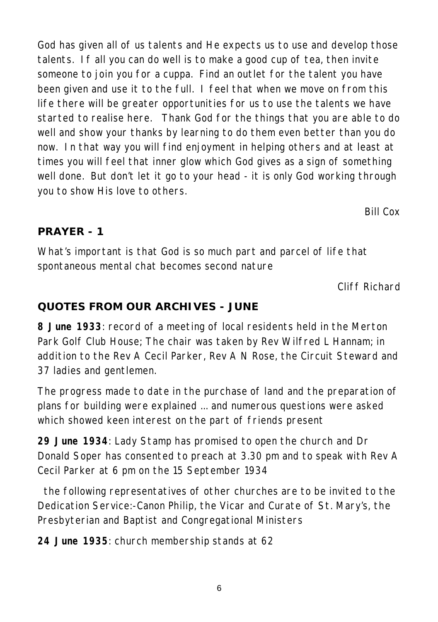God has given all of us talents and He expects us to use and develop those talents. If all you can do well is to make a good cup of tea, then invite someone to join you for a cuppa. Find an outlet for the talent you have been given and use it to the full. I feel that when we move on from this life there will be greater opportunities for us to use the talents we have started to realise here. Thank God for the things that you are able to do well and show your thanks by learning to do them even better than you do now. In that way you will find enjoyment in helping others and at least at times you will feel that inner glow which God gives as a sign of something well done. But don't let it go to your head - it is only God working through you to show His love to others.

*Bill Cox*

#### **PRAYER - 1**

What's important is that God is so much part and parcel of life that spontaneous mental chat becomes second nature

*Cliff Richard*

#### **QUOTES FROM OUR ARCHIVES - JUNE**

**8 June 1933**: record of a meeting of local residents held in the Merton Park Golf Club House; The chair was taken by Rev Wilfred L Hannam; in addition to the Rev A Cecil Parker, Rev A N Rose, the Circuit Steward and 37 ladies and gentlemen.

The progress made to date in the purchase of land and the preparation of plans for building were explained ... and numerous questions were asked which showed keen interest on the part of friends present

**29 June 1934**: Lady Stamp has promised to open the church and Dr Donald Soper has consented to preach at 3.30 pm and to speak with Rev A Cecil Parker at 6 pm on the 15 September 1934

 the following representatives of other churches are to be invited to the Dedication Service:-Canon Philip, the Vicar and Curate of St. Mary's, the Presbyterian and Baptist and Congregational Ministers

**24 June 1935**: church membership stands at 62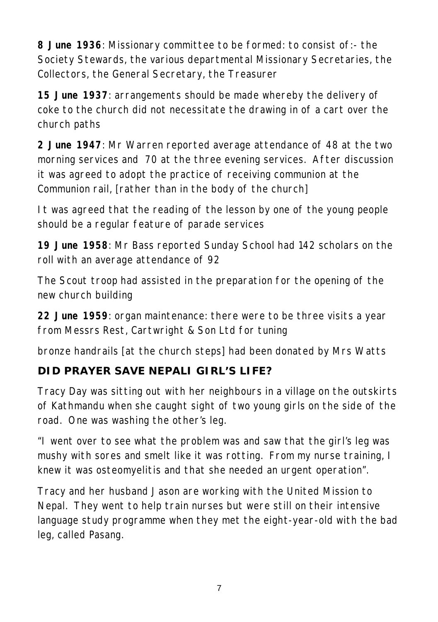**8 June 1936**: Missionary committee to be formed: to consist of:- the Society Stewards, the various departmental Missionary Secretaries, the Collectors, the General Secretary, the Treasurer

**15 June 1937**: arrangements should be made whereby the delivery of coke to the church did not necessitate the drawing in of a cart over the church paths

**2 June 1947**: Mr Warren reported average attendance of 48 at the two morning services and 70 at the three evening services. After discussion it was agreed to adopt the practice of receiving communion at the Communion rail, [rather than in the body of the church]

It was agreed that the reading of the lesson by one of the young people should be a regular feature of parade services

**19 June 1958**: Mr Bass reported Sunday School had 142 scholars on the roll with an average attendance of 92

The Scout troop had assisted in the preparation for the opening of the new church building

**22 June 1959**: organ maintenance: there were to be three visits a year from Messrs Rest, Cartwright & Son Ltd for tuning

bronze handrails [at the church steps] had been donated by Mrs Watts

# **DID PRAYER SAVE NEPALI GIRL'S LIFE?**

Tracy Day was sitting out with her neighbours in a village on the outskirts of Kathmandu when she caught sight of two young girls on the side of the road. One was washing the other's leg.

"I went over to see what the problem was and saw that the girl's leg was mushy with sores and smelt like it was rotting. From my nurse training, I knew it was osteomyelitis and that she needed an urgent operation".

Tracy and her husband Jason are working with the United Mission to Nepal. They went to help train nurses but were still on their intensive language study programme when they met the eight-year-old with the bad leg, called Pasang.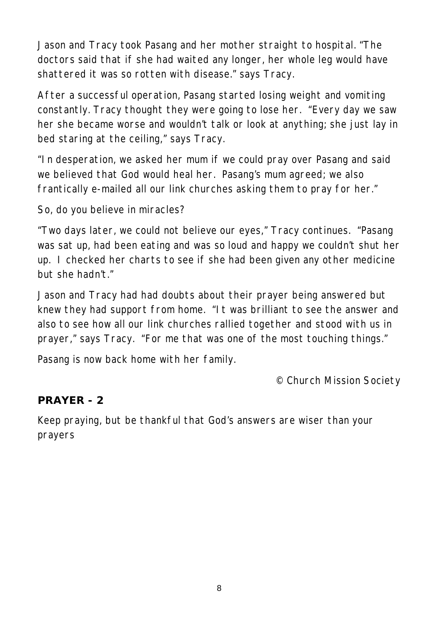Jason and Tracy took Pasang and her mother straight to hospital. "The doctors said that if she had waited any longer, her whole leg would have shattered it was so rotten with disease." says Tracy.

After a successful operation, Pasang started losing weight and vomiting constantly. Tracy thought they were going to lose her. "Every day we saw her she became worse and wouldn't talk or look at anything; she just lay in bed staring at the ceiling," says Tracy.

"In desperation, we asked her mum if we could pray over Pasang and said we believed that God would heal her. Pasang's mum agreed; we also frantically e-mailed all our link churches asking them to pray for her."

So, do you believe in miracles?

"Two days later, we could not believe our eyes," Tracy continues. "Pasang was sat up, had been eating and was so loud and happy we couldn't shut her up. I checked her charts to see if she had been given any other medicine but she hadn't."

Jason and Tracy had had doubts about their prayer being answered but knew they had support from home. "It was brilliant to see the answer and also to see how all our link churches rallied together and stood with us in prayer," says Tracy. "For me that was one of the most touching things."

Pasang is now back home with her family.

*© Church Mission Society*

#### **PRAYER - 2**

Keep praying, but be thankful that God's answers are wiser than your prayers